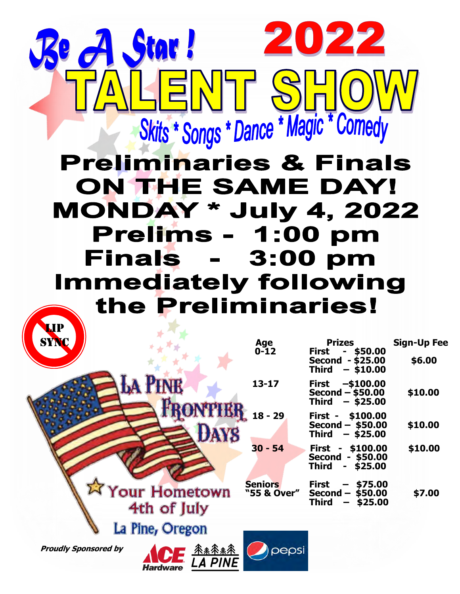## Skits \* Songs \* Dance \* Magic \* Comedy **Preliminaries & Finals** ON THE SAME DAY! **MONDAY \* July 4, 2022** Prelims - 1:00 pm **Finals - 3:00 pm Immediately following** the Preliminaries!

ENT S

Star !

022

2

| <b>SYNC</b>                                                               | <b>Age</b><br>$0 - 12$        | <b>Prizes</b><br><b>First</b><br>\$50.00<br>Second<br>$-$ \$25.00                                             | <b>Sign-Up Fee</b><br>\$6.00 |
|---------------------------------------------------------------------------|-------------------------------|---------------------------------------------------------------------------------------------------------------|------------------------------|
| <b>LA PINE</b>                                                            | $13 - 17$                     | <b>Third</b><br>$-$ \$10.00<br>$-$100.00$<br><b>First</b><br>$Second - $50.00$<br><b>Third</b><br>$-$ \$25.00 | \$10.00                      |
| <b>FRONTHER</b> 18-29<br><b>DAYS</b>                                      |                               | \$100.00<br>First -<br>$Second - $50.00$<br>Third<br>$-$ \$25.00                                              | \$10.00                      |
|                                                                           | $30 - 54$                     | First - \$100.00<br>$-$ \$50.00<br><b>Second</b><br><b>Third</b><br>\$25.00<br>$\sim$                         | \$10.00                      |
| <b>EX Your Hometown</b><br>4th of July                                    | <b>Seniors</b><br>"55 & Over" | <b>First</b><br>\$75.00<br>Second -<br>\$50.00<br><b>Third</b><br>\$25.00<br>-                                | \$7.00                       |
| La Pine, Oregon                                                           |                               |                                                                                                               |                              |
| <b>Proudly Sponsored by</b><br>子系系条条<br><b>LA PINE</b><br><b>Hardware</b> | pepsi                         |                                                                                                               |                              |